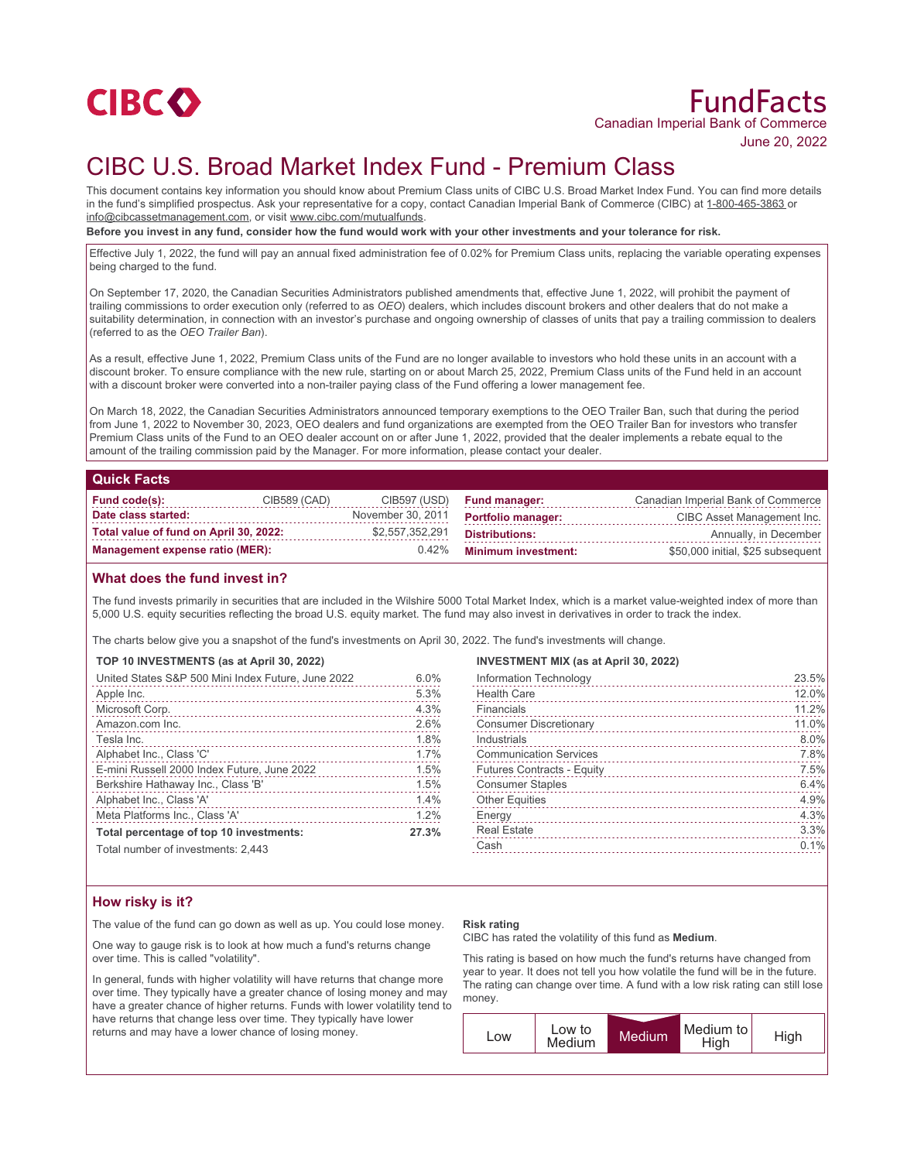

# CIBC U.S. Broad Market Index Fund - Premium Class

This document contains key information you should know about Premium Class units of CIBC U.S. Broad Market Index Fund. You can find more details in the fund's simplified prospectus. Ask your representative for a copy, contact Canadian Imperial Bank of Commerce (CIBC) at 1-800-465-3863 or info@cibcassetmanagement.com, or visit www.cibc.com/mutualfunds.

**Before you invest in any fund, consider how the fund would work with your other investments and your tolerance for risk.**

Effective July 1, 2022, the fund will pay an annual fixed administration fee of 0.02% for Premium Class units, replacing the variable operating expenses being charged to the fund.

On September 17, 2020, the Canadian Securities Administrators published amendments that, effective June 1, 2022, will prohibit the payment of trailing commissions to order execution only (referred to as *OEO*) dealers, which includes discount brokers and other dealers that do not make a suitability determination, in connection with an investor's purchase and ongoing ownership of classes of units that pay a trailing commission to dealers (referred to as the *OEO Trailer Ban*).

As a result, effective June 1, 2022, Premium Class units of the Fund are no longer available to investors who hold these units in an account with a discount broker. To ensure compliance with the new rule, starting on or about March 25, 2022, Premium Class units of the Fund held in an account with a discount broker were converted into a non-trailer paying class of the Fund offering a lower management fee.

On March 18, 2022, the Canadian Securities Administrators announced temporary exemptions to the OEO Trailer Ban, such that during the period from June 1, 2022 to November 30, 2023, OEO dealers and fund organizations are exempted from the OEO Trailer Ban for investors who transfer Premium Class units of the Fund to an OEO dealer account on or after June 1, 2022, provided that the dealer implements a rebate equal to the amount of the trailing commission paid by the Manager. For more information, please contact your dealer.

## **Quick Facts**

| Fund code(s):                          | CIB589 (CAD) | CIB597 (USD)      | <b>Fund manager:</b>       | Canadian Imperial Bank of Commerce |
|----------------------------------------|--------------|-------------------|----------------------------|------------------------------------|
| Date class started:                    |              | November 30, 2011 | <b>Portfolio manager:</b>  | CIBC Asset Management Inc.         |
| Total value of fund on April 30, 2022: |              | \$2,557,352,291   | Distributions:             | Annually, in December              |
| Management expense ratio (MER):        |              | $0.42\%$          | <b>Minimum investment:</b> | \$50,000 initial, \$25 subsequent  |

## **What does the fund invest in?**

The fund invests primarily in securities that are included in the Wilshire 5000 Total Market Index, which is a market value-weighted index of more than 5,000 U.S. equity securities reflecting the broad U.S. equity market. The fund may also invest in derivatives in order to track the index.

The charts below give you a snapshot of the fund's investments on April 30, 2022. The fund's investments will change.

# **TOP 10 INVESTMENTS (as at April 30, 2022)**

| United States S&P 500 Mini Index Future, June 2022 | 6.0%  |
|----------------------------------------------------|-------|
| Apple Inc.                                         | 5.3%  |
| Microsoft Corp.                                    | 4.3%  |
| Amazon.com Inc.                                    | 2.6%  |
| Tesla Inc.                                         | 1.8%  |
| Alphabet Inc., Class 'C'                           | 1.7%  |
| E-mini Russell 2000 Index Future, June 2022        | 1.5%  |
| Berkshire Hathaway Inc., Class 'B'                 | 1.5%  |
| Alphabet Inc., Class 'A'                           | 1.4%  |
| Meta Platforms Inc., Class 'A'                     | 1.2%  |
| Total percentage of top 10 investments:            | 27.3% |
| Total number of investments: $9.443$               |       |

otal number of investments: 2.443

### **INVESTMENT MIX (as at April 30, 2022)**

| Information Technology            | 23.5% |
|-----------------------------------|-------|
| <b>Health Care</b>                | 12.0% |
| Financials                        | 11.2% |
| <b>Consumer Discretionary</b>     | 11.0% |
| Industrials                       | 8.0%  |
| <b>Communication Services</b>     | 7.8%  |
| <b>Futures Contracts - Equity</b> | 7.5%  |
| <b>Consumer Staples</b>           | 6.4%  |
| <b>Other Equities</b>             | 4.9%  |
| Energy                            | 4.3%  |
| <b>Real Estate</b>                | 3.3%  |
| Cash                              | 0.1%  |
|                                   |       |

## **How risky is it?**

The value of the fund can go down as well as up. You could lose money.

One way to gauge risk is to look at how much a fund's returns change over time. This is called "volatility".

In general, funds with higher volatility will have returns that change more over time. They typically have a greater chance of losing money and may have a greater chance of higher returns. Funds with lower volatility tend to have returns that change less over time. They typically have lower returns and may have a lower chance of losing money.

### **Risk rating**

CIBC has rated the volatility of this fund as **Medium**.

This rating is based on how much the fund's returns have changed from year to year. It does not tell you how volatile the fund will be in the future. The rating can change over time. A fund with a low risk rating can still lose money.

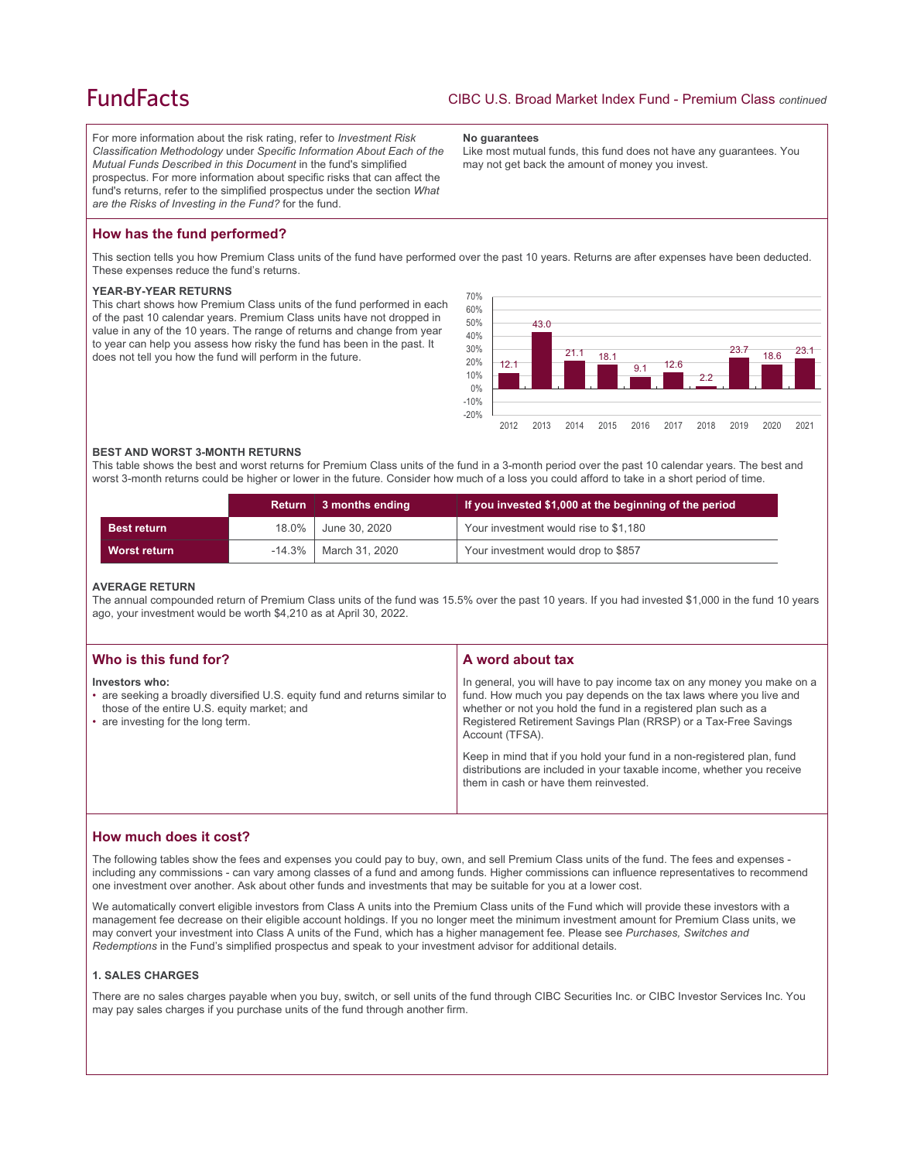# **FundFacts**

For more information about the risk rating, refer to *Investment Risk Classification Methodology* under *Specific Information About Each of the Mutual Funds Described in this Document* in the fund's simplified prospectus. For more information about specific risks that can affect the fund's returns, refer to the simplified prospectus under the section *What are the Risks of Investing in the Fund?* for the fund.

#### **No guarantees**

Like most mutual funds, this fund does not have any guarantees. You may not get back the amount of money you invest.

# **How has the fund performed?**

This section tells you how Premium Class units of the fund have performed over the past 10 years. Returns are after expenses have been deducted. These expenses reduce the fund's returns.

## **YEAR-BY-YEAR RETURNS**

This chart shows how Premium Class units of the fund performed in each of the past 10 calendar years. Premium Class units have not dropped in value in any of the 10 years. The range of returns and change from year to year can help you assess how risky the fund has been in the past. It does not tell you how the fund will perform in the future.



### **BEST AND WORST 3-MONTH RETURNS**

This table shows the best and worst returns for Premium Class units of the fund in a 3-month period over the past 10 calendar years. The best and worst 3-month returns could be higher or lower in the future. Consider how much of a loss you could afford to take in a short period of time.

|                     | <b>Return</b> | $\parallel$ 3 months ending | If you invested \$1,000 at the beginning of the period |
|---------------------|---------------|-----------------------------|--------------------------------------------------------|
| <b>Best return</b>  |               | 18.0% June 30, 2020         | Your investment would rise to \$1,180                  |
| <b>Worst return</b> |               | $-14.3\%$   March 31, 2020  | Your investment would drop to \$857                    |

### **AVERAGE RETURN**

The annual compounded return of Premium Class units of the fund was 15.5% over the past 10 years. If you had invested \$1,000 in the fund 10 years ago, your investment would be worth \$4,210 as at April 30, 2022.

| Who is this fund for?                                                                                                                                                              | A word about tax                                                                                                                                                                                                                                                                                     |
|------------------------------------------------------------------------------------------------------------------------------------------------------------------------------------|------------------------------------------------------------------------------------------------------------------------------------------------------------------------------------------------------------------------------------------------------------------------------------------------------|
| Investors who:<br>• are seeking a broadly diversified U.S. equity fund and returns similar to<br>those of the entire U.S. equity market; and<br>• are investing for the long term. | In general, you will have to pay income tax on any money you make on a<br>fund. How much you pay depends on the tax laws where you live and<br>whether or not you hold the fund in a registered plan such as a<br>Registered Retirement Savings Plan (RRSP) or a Tax-Free Savings<br>Account (TFSA). |
|                                                                                                                                                                                    | Keep in mind that if you hold your fund in a non-registered plan, fund<br>distributions are included in your taxable income, whether you receive<br>them in cash or have them reinvested.                                                                                                            |

## **How much does it cost?**

The following tables show the fees and expenses you could pay to buy, own, and sell Premium Class units of the fund. The fees and expenses including any commissions - can vary among classes of a fund and among funds. Higher commissions can influence representatives to recommend one investment over another. Ask about other funds and investments that may be suitable for you at a lower cost.

We automatically convert eligible investors from Class A units into the Premium Class units of the Fund which will provide these investors with a management fee decrease on their eligible account holdings. If you no longer meet the minimum investment amount for Premium Class units, we may convert your investment into Class A units of the Fund, which has a higher management fee. Please see *Purchases, Switches and Redemptions* in the Fund's simplified prospectus and speak to your investment advisor for additional details.

# **1. SALES CHARGES**

There are no sales charges payable when you buy, switch, or sell units of the fund through CIBC Securities Inc. or CIBC Investor Services Inc. You may pay sales charges if you purchase units of the fund through another firm.